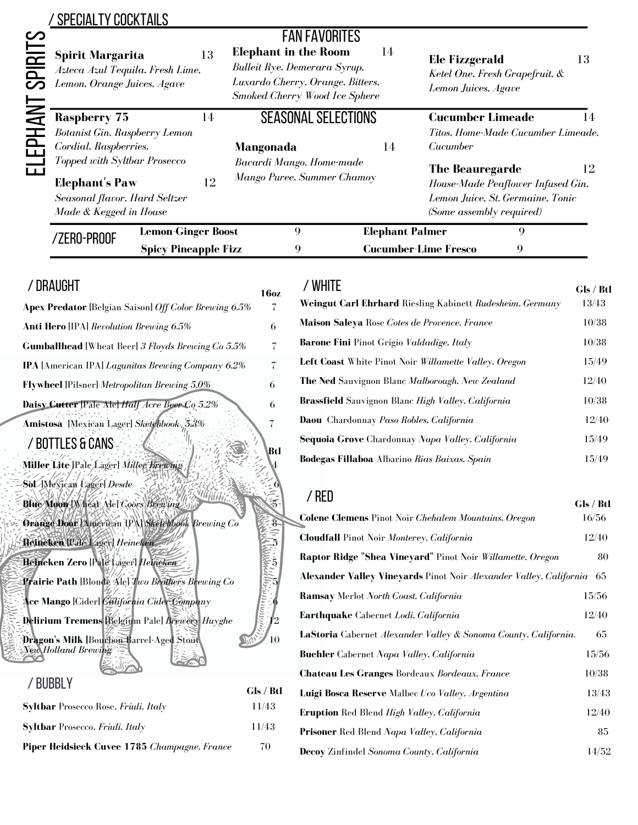## /SPECIALTY COCKTAILS

| <u>က</u><br>$\Xi$<br><u>ဉ</u> | <b>Spirit Margarita</b><br>Azteca Azul Tequila, Fresh Lime,<br>Lemon, Orange Juices, Agave                                                                                                        |                                                          | 13 | <b>FAN FAVORITES</b><br><b>Elephant in the Room</b><br>Bulleit Rye, Demerara Syrup,<br>Luxardo Cherry, Orange, Bitters,<br>Smoked Cherry Wood Ice Sphere | 14                     | <b>Ele Fizzgerald</b><br>Lemon Juices, Agave                                                                                      | Ketel One, Fresh Grapefruit, & | 13 |  |
|-------------------------------|---------------------------------------------------------------------------------------------------------------------------------------------------------------------------------------------------|----------------------------------------------------------|----|----------------------------------------------------------------------------------------------------------------------------------------------------------|------------------------|-----------------------------------------------------------------------------------------------------------------------------------|--------------------------------|----|--|
|                               | <b>Raspberry 75</b><br>Botanist Gin, Raspberry Lemon<br>Cordial, Raspberries,<br>Topped with Syltbar Prosecco<br><b>Elephant's Paw</b><br>Seasonal flavor, Hard Seltzer<br>Made & Kegged in House |                                                          | 14 | <b>SEASONAL SELECTIONS</b><br>Mangonada                                                                                                                  | 14                     | <b>Cucumber Limeade</b><br>$\mathsf{I}4$<br>Titos, Home-Made Cucumber Limeade,<br>Cucumber                                        |                                |    |  |
| Ë                             |                                                                                                                                                                                                   |                                                          | 12 | Bacardi Mango, Home-made<br>Mango Puree, Summer Chamoy                                                                                                   |                        | 12<br><b>The Beauregarde</b><br>House-Made Peaflower Infused Gin,<br>Lemon Juice, St. Germaine, Tonic<br>(Some assembly required) |                                |    |  |
|                               | /ZERO-PROOF                                                                                                                                                                                       | <b>Lemon-Ginger Boost</b><br><b>Spicy Pineapple Fizz</b> |    | $\mathbf Q$                                                                                                                                              | <b>Elephant Palmer</b> | <b>Cucumber-Lime Fresco</b>                                                                                                       | 9<br>9                         |    |  |

## /DRAUGHT

| 16oz     |
|----------|
| 7        |
| 6        |
|          |
| 7        |
| 6        |
| 6        |
| 7        |
| Btl      |
|          |
|          |
|          |
|          |
|          |
|          |
|          |
|          |
|          |
| 10       |
|          |
| Cle / Rt |
|          |

## **Gls / Btl Syltbar** Prosecco Rose, *Friuli, Italy* 11/43 **Syltbar** Prosecco, *Friuli, Italy* 11/43 **Piper Heidsieck Cuvee 1785** *Champagne, France* 70

| / WHITE<br><b>Weingut Carl Ehrhard</b> Riesling Kabinett Rudesheim, Germany | Gls / Btl<br>13/43 |
|-----------------------------------------------------------------------------|--------------------|
| Maison Saleya Rose Cotes de Provence, France                                | 10/38              |
| <b>Barone Fini</b> Pinot Grigio Valdadige, Italy                            | 10/38              |
| <b>Left Coast</b> White Pinot Noir Willamette Valley, Oregon                | 15/49              |
| The Ned Sauvignon Blanc Malborough, New Zealand                             | 12/40              |
| Brassfield Sauvignon Blanc High Valley, California                          | 10/38              |
| Daou Chardonnay Paso Robles, California                                     | 12/40              |
| Sequoia Grove Chardonnay Napa Valley, California                            | 15/49              |
| <b>Bodegas Fillaboa</b> Albarino Rias Baixas, Spain                         | 15/49              |

| / RED                                                                      | Gls / Btl |  |  |
|----------------------------------------------------------------------------|-----------|--|--|
| <b>Colene Clemens</b> Pinot Noir <i>Chehalem Mountains</i> , <i>Oregon</i> | 16/56     |  |  |
| <b>Cloudfall</b> Pinot Noir Monterey, California                           | 12/40     |  |  |
| Raptor Ridge "Shea Vineyard" Pinot Noir Willamette, Oregon                 | 80        |  |  |
| <b>Alexander Valley Vineyards Pinot Noir Alexander Valley, California</b>  | -65       |  |  |
| <b>Ramsay</b> Merlot <i>North Coast, California</i>                        | 15/56     |  |  |
| Earthquake Cabernet Lodi, California                                       | 12/40     |  |  |
| <b>LaStoria</b> Cabernet Alexander Valley & Sonoma County, California.     | 65        |  |  |
| Buehler Cabernet Napa Valley, California                                   | 15/56     |  |  |
| <b>Chateau Les Granges Bordeaux Bordeaux, France</b>                       |           |  |  |
| Luigi Bosca Reserve Malbec Uco Valley, Argentina                           | 13/43     |  |  |
| Eruption Red Blend High Valley, California                                 | 12/40     |  |  |
| Prisoner Red Blend Napa Valley, California                                 | 85        |  |  |
| Decoy Zinfindel Sonoma County, California                                  | 14/52     |  |  |